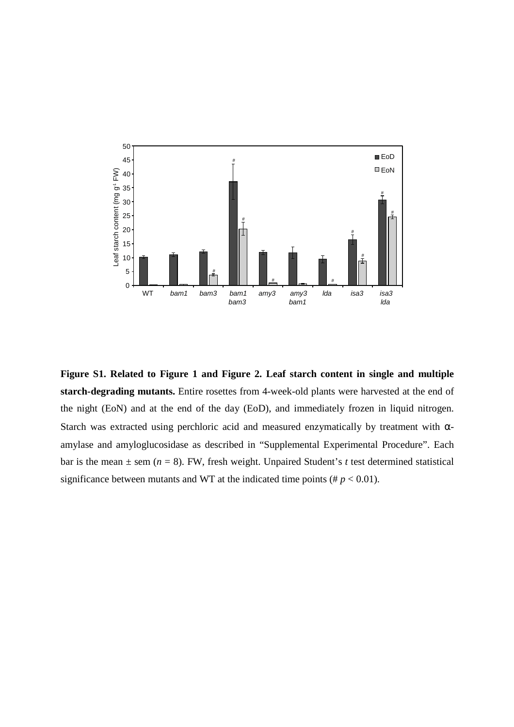

**Figure S1. Related to Figure 1 and Figure 2. Leaf starch content in single and multiple starch-degrading mutants.** Entire rosettes from 4-week-old plants were harvested at the end of the night (EoN) and at the end of the day (EoD), and immediately frozen in liquid nitrogen. Starch was extracted using perchloric acid and measured enzymatically by treatment with  $\alpha$ amylase and amyloglucosidase as described in "Supplemental Experimental Procedure". Each bar is the mean  $\pm$  sem ( $n = 8$ ). FW, fresh weight. Unpaired Student's *t* test determined statistical significance between mutants and WT at the indicated time points ( $\# p < 0.01$ ).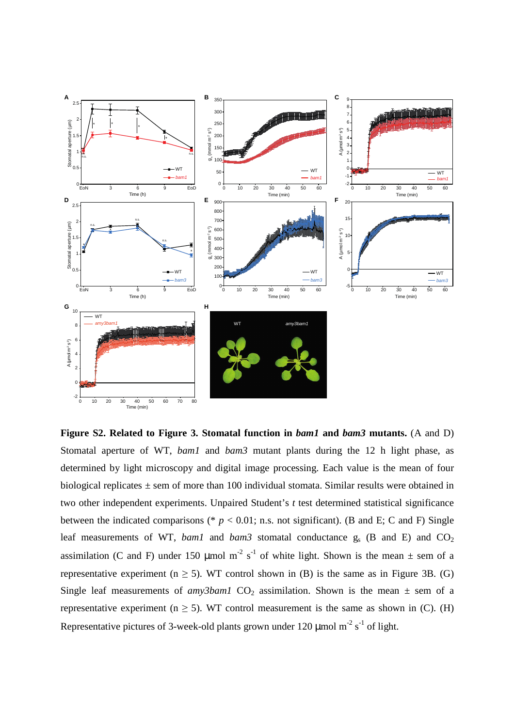

**Figure S2. Related to Figure 3. Stomatal function in** *bam1* **and** *bam3* **mutants.** (A and D) Stomatal aperture of WT, *bam1* and *bam3* mutant plants during the 12 h light phase, as determined by light microscopy and digital image processing. Each value is the mean of four biological replicates  $\pm$  sem of more than 100 individual stomata. Similar results were obtained in two other independent experiments. Unpaired Student's *t* test determined statistical significance between the indicated comparisons ( $p < 0.01$ ; n.s. not significant). (B and E; C and F) Single leaf measurements of WT, *bam1* and *bam3* stomatal conductance  $g_s$  (B and E) and CO<sub>2</sub> assimilation (C and F) under 150 µmol m<sup>-2</sup> s<sup>-1</sup> of white light. Shown is the mean  $\pm$  sem of a representative experiment ( $n \ge 5$ ). WT control shown in (B) is the same as in Figure 3B. (G) Single leaf measurements of *amy3bam1*  $CO_2$  assimilation. Shown is the mean  $\pm$  sem of a representative experiment ( $n \ge 5$ ). WT control measurement is the same as shown in (C). (H) Representative pictures of 3-week-old plants grown under 120  $\mu$ mol m<sup>-2</sup> s<sup>-1</sup> of light.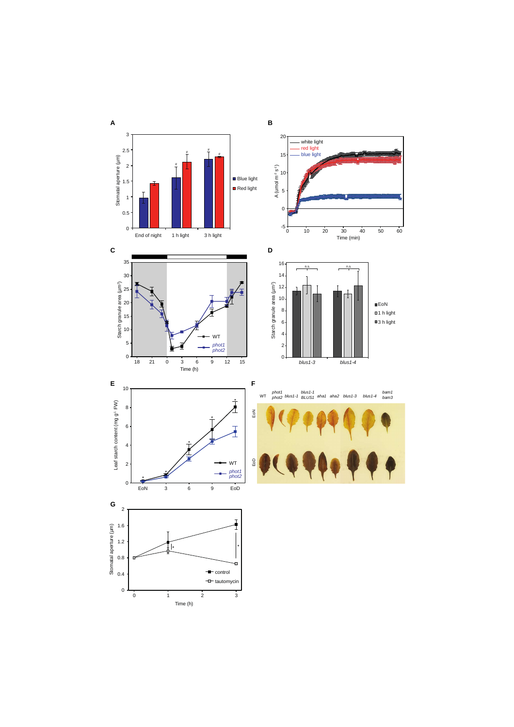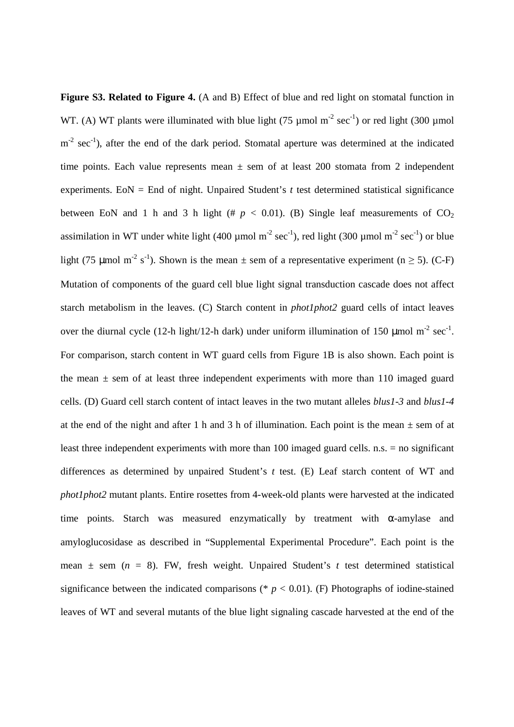Figure S3. Related to Figure 4. (A and B) Effect of blue and red light on stomatal function in WT. (A) WT plants were illuminated with blue light (75 µmol  $m^{-2}$  sec<sup>-1</sup>) or red light (300 µmol  $m<sup>-2</sup> sec<sup>-1</sup>$ ), after the end of the dark period. Stomatal aperture was determined at the indicated time points. Each value represents mean  $\pm$  sem of at least 200 stomata from 2 independent experiments. EoN  $=$  End of night. Unpaired Student's  $t$  test determined statistical significance between EoN and 1 h and 3 h light (#  $p < 0.01$ ). (B) Single leaf measurements of  $CO<sub>2</sub>$ assimilation in WT under white light (400 µmol  $m<sup>-2</sup> sec<sup>-1</sup>$ ), red light (300 µmol  $m<sup>-2</sup> sec<sup>-1</sup>$ ) or blue light (75 µmol m<sup>-2</sup> s<sup>-1</sup>). Shown is the mean  $\pm$  sem of a representative experiment (n  $\geq$  5). (C-F) Mutation of components of the guard cell blue light signal transduction cascade does not affect starch metabolism in the leaves. (C) Starch content in *phot1phot2* guard cells of intact leaves over the diurnal cycle (12-h light/12-h dark) under uniform illumination of 150  $\mu$ mol m<sup>-2</sup> sec<sup>-1</sup>. For comparison, starch content in WT guard cells from Figure 1B is also shown. Each point is the mean  $\pm$  sem of at least three independent experiments with more than 110 imaged guard cells. (D) Guard cell starch content of intact leaves in the two mutant alleles *blus1-3* and *blus1-4* at the end of the night and after 1 h and 3 h of illumination. Each point is the mean  $\pm$  sem of at least three independent experiments with more than 100 imaged guard cells. n.s. = no significant differences as determined by unpaired Student's *t* test. (E) Leaf starch content of WT and *phot1phot2* mutant plants. Entire rosettes from 4-week-old plants were harvested at the indicated time points. Starch was measured enzymatically by treatment with  $\alpha$ -amylase and amyloglucosidase as described in "Supplemental Experimental Procedure". Each point is the mean  $\pm$  sem ( $n = 8$ ). FW, fresh weight. Unpaired Student's t test determined statistical significance between the indicated comparisons ( $p < 0.01$ ). (F) Photographs of iodine-stained leaves of WT and several mutants of the blue light signaling cascade harvested at the end of the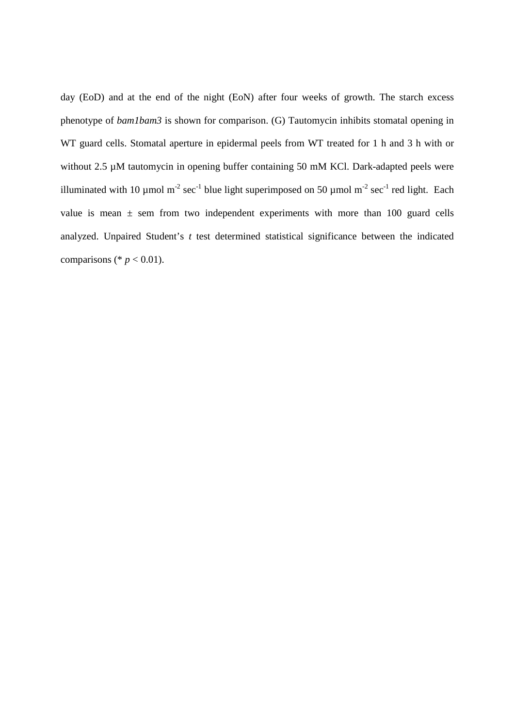day (EoD) and at the end of the night (EoN) after four weeks of growth. The starch excess phenotype of *bam1bam3* is shown for comparison. (G) Tautomycin inhibits stomatal opening in WT guard cells. Stomatal aperture in epidermal peels from WT treated for 1 h and 3 h with or without 2.5  $\mu$ M tautomycin in opening buffer containing 50 mM KCl. Dark-adapted peels were illuminated with 10 µmol m<sup>-2</sup> sec<sup>-1</sup> blue light superimposed on 50 µmol m<sup>-2</sup> sec<sup>-1</sup> red light. Each value is mean  $\pm$  sem from two independent experiments with more than 100 guard cells analyzed. Unpaired Student's *t* test determined statistical significance between the indicated comparisons (\*  $p < 0.01$ ).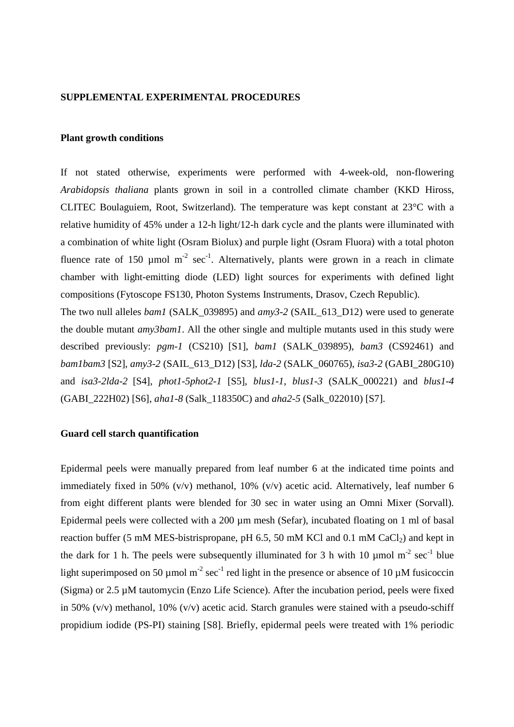## **SUPPLEMENTAL EXPERIMENTAL PROCEDURES**

#### **Plant growth conditions**

If not stated otherwise, experiments were performed with 4-week-old, non-flowering *Arabidopsis thaliana* plants grown in soil in a controlled climate chamber (KKD Hiross, CLITEC Boulaguiem, Root, Switzerland). The temperature was kept constant at 23°C with a relative humidity of 45% under a 12-h light/12-h dark cycle and the plants were illuminated with a combination of white light (Osram Biolux) and purple light (Osram Fluora) with a total photon fluence rate of 150  $\mu$ mol m<sup>-2</sup> sec<sup>-1</sup>. Alternatively, plants were grown in a reach in climate chamber with light-emitting diode (LED) light sources for experiments with defined light compositions (Fytoscope FS130, Photon Systems Instruments, Drasov, Czech Republic).

The two null alleles *bam1* (SALK\_039895) and *amy3-2* (SAIL\_613\_D12) were used to generate the double mutant *amy3bam1*. All the other single and multiple mutants used in this study were described previously: *pgm-1* (CS210) [S1], *bam1* (SALK\_039895), *bam3* (CS92461) and *bam1bam3* [S2], *amy3-2* (SAIL\_613\_D12) [S3], *lda-2* (SALK\_060765), *isa3-2* (GABI\_280G10) and *isa3-2lda-2* [S4], *phot1-5phot2-1* [S5], *blus1-1*, *blus1-3* (SALK\_000221) and *blus1-4* (GABI\_222H02) [S6], *aha1-8* (Salk\_118350C) and *aha2-5* (Salk\_022010) [S7].

# **Guard cell starch quantification**

Epidermal peels were manually prepared from leaf number 6 at the indicated time points and immediately fixed in 50% (v/v) methanol, 10% (v/v) acetic acid. Alternatively, leaf number 6 from eight different plants were blended for 30 sec in water using an Omni Mixer (Sorvall). Epidermal peels were collected with a 200 µm mesh (Sefar), incubated floating on 1 ml of basal reaction buffer (5 mM MES-bistrispropane, pH  $6.5$ , 50 mM KCl and 0.1 mM CaCl<sub>2</sub>) and kept in the dark for 1 h. The peels were subsequently illuminated for 3 h with 10  $\mu$ mol m<sup>-2</sup> sec<sup>-1</sup> blue light superimposed on 50 µmol m<sup>-2</sup> sec<sup>-1</sup> red light in the presence or absence of 10 µM fusicoccin (Sigma) or 2.5 µM tautomycin (Enzo Life Science). After the incubation period, peels were fixed in 50% (v/v) methanol, 10% (v/v) acetic acid. Starch granules were stained with a pseudo-schiff propidium iodide (PS-PI) staining [S8]. Briefly, epidermal peels were treated with 1% periodic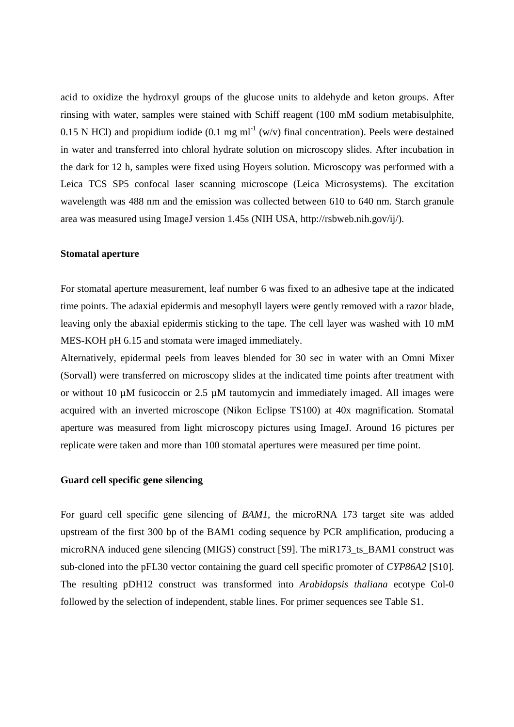acid to oxidize the hydroxyl groups of the glucose units to aldehyde and keton groups. After rinsing with water, samples were stained with Schiff reagent (100 mM sodium metabisulphite, 0.15 N HCl) and propidium iodide (0.1 mg ml<sup>-1</sup> (w/v) final concentration). Peels were destained in water and transferred into chloral hydrate solution on microscopy slides. After incubation in the dark for 12 h, samples were fixed using Hoyers solution. Microscopy was performed with a Leica TCS SP5 confocal laser scanning microscope (Leica Microsystems). The excitation wavelength was 488 nm and the emission was collected between 610 to 640 nm. Starch granule area was measured using ImageJ version 1.45s (NIH USA, http://rsbweb.nih.gov/ij/).

## **Stomatal aperture**

For stomatal aperture measurement, leaf number 6 was fixed to an adhesive tape at the indicated time points. The adaxial epidermis and mesophyll layers were gently removed with a razor blade, leaving only the abaxial epidermis sticking to the tape. The cell layer was washed with 10 mM MES-KOH pH 6.15 and stomata were imaged immediately.

Alternatively, epidermal peels from leaves blended for 30 sec in water with an Omni Mixer (Sorvall) were transferred on microscopy slides at the indicated time points after treatment with or without 10 µM fusicoccin or 2.5 µM tautomycin and immediately imaged. All images were acquired with an inverted microscope (Nikon Eclipse TS100) at 40x magnification. Stomatal aperture was measured from light microscopy pictures using ImageJ. Around 16 pictures per replicate were taken and more than 100 stomatal apertures were measured per time point.

# **Guard cell specific gene silencing**

For guard cell specific gene silencing of *BAM1*, the microRNA 173 target site was added upstream of the first 300 bp of the BAM1 coding sequence by PCR amplification, producing a microRNA induced gene silencing (MIGS) construct [S9]. The miR173\_ts\_BAM1 construct was sub-cloned into the pFL30 vector containing the guard cell specific promoter of *CYP86A2* [S10]. The resulting pDH12 construct was transformed into *Arabidopsis thaliana* ecotype Col-0 followed by the selection of independent, stable lines. For primer sequences see Table S1.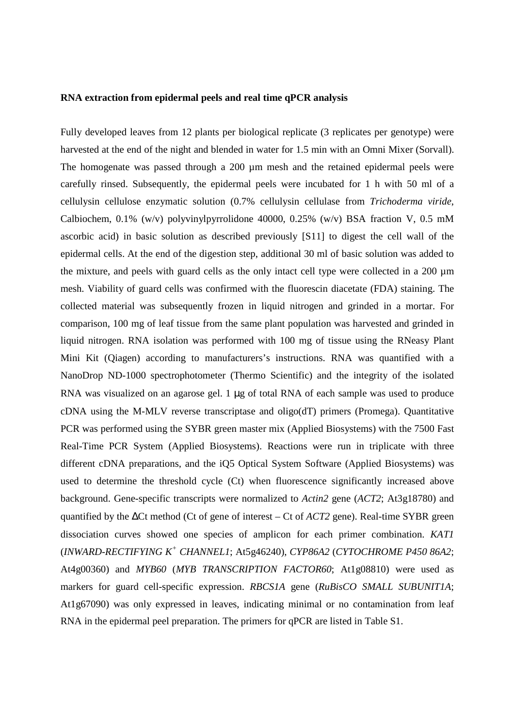### **RNA extraction from epidermal peels and real time qPCR analysis**

Fully developed leaves from 12 plants per biological replicate (3 replicates per genotype) were harvested at the end of the night and blended in water for 1.5 min with an Omni Mixer (Sorvall). The homogenate was passed through a 200  $\mu$ m mesh and the retained epidermal peels were carefully rinsed. Subsequently, the epidermal peels were incubated for 1 h with 50 ml of a cellulysin cellulose enzymatic solution (0.7% cellulysin cellulase from *Trichoderma viride*, Calbiochem, 0.1% (w/v) polyvinylpyrrolidone 40000, 0.25% (w/v) BSA fraction V, 0.5 mM ascorbic acid) in basic solution as described previously [S11] to digest the cell wall of the epidermal cells. At the end of the digestion step, additional 30 ml of basic solution was added to the mixture, and peels with guard cells as the only intact cell type were collected in a 200 µm mesh. Viability of guard cells was confirmed with the fluorescin diacetate (FDA) staining. The collected material was subsequently frozen in liquid nitrogen and grinded in a mortar. For comparison, 100 mg of leaf tissue from the same plant population was harvested and grinded in liquid nitrogen. RNA isolation was performed with 100 mg of tissue using the RNeasy Plant Mini Kit (Qiagen) according to manufacturers's instructions. RNA was quantified with a NanoDrop ND-1000 spectrophotometer (Thermo Scientific) and the integrity of the isolated RNA was visualized on an agarose gel. 1 µg of total RNA of each sample was used to produce cDNA using the M-MLV reverse transcriptase and oligo(dT) primers (Promega). Quantitative PCR was performed using the SYBR green master mix (Applied Biosystems) with the 7500 Fast Real-Time PCR System (Applied Biosystems). Reactions were run in triplicate with three different cDNA preparations, and the iQ5 Optical System Software (Applied Biosystems) was used to determine the threshold cycle (Ct) when fluorescence significantly increased above background. Gene-specific transcripts were normalized to *Actin2* gene (*ACT2*; At3g18780) and quantified by the ∆Ct method (Ct of gene of interest – Ct of *ACT2* gene). Real-time SYBR green dissociation curves showed one species of amplicon for each primer combination. *KAT1* (*INWARD-RECTIFYING K<sup>+</sup> CHANNEL1*; At5g46240), *CYP86A2* (*CYTOCHROME P450 86A2*; At4g00360) and *MYB60* (*MYB TRANSCRIPTION FACTOR60*; At1g08810) were used as markers for guard cell-specific expression. *RBCS1A* gene (*RuBisCO SMALL SUBUNIT1A*; At1g67090) was only expressed in leaves, indicating minimal or no contamination from leaf RNA in the epidermal peel preparation. The primers for qPCR are listed in Table S1.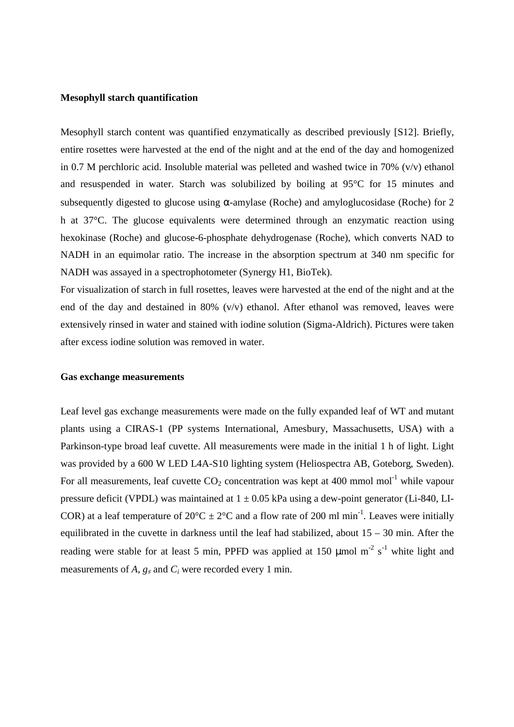## **Mesophyll starch quantification**

Mesophyll starch content was quantified enzymatically as described previously [S12]. Briefly, entire rosettes were harvested at the end of the night and at the end of the day and homogenized in 0.7 M perchloric acid. Insoluble material was pelleted and washed twice in 70% (v/v) ethanol and resuspended in water. Starch was solubilized by boiling at 95°C for 15 minutes and subsequently digested to glucose using  $\alpha$ -amylase (Roche) and amyloglucosidase (Roche) for 2 h at 37°C. The glucose equivalents were determined through an enzymatic reaction using hexokinase (Roche) and glucose-6-phosphate dehydrogenase (Roche), which converts NAD to NADH in an equimolar ratio. The increase in the absorption spectrum at 340 nm specific for NADH was assayed in a spectrophotometer (Synergy H1, BioTek).

For visualization of starch in full rosettes, leaves were harvested at the end of the night and at the end of the day and destained in 80% ( $v/v$ ) ethanol. After ethanol was removed, leaves were extensively rinsed in water and stained with iodine solution (Sigma-Aldrich). Pictures were taken after excess iodine solution was removed in water.

#### **Gas exchange measurements**

Leaf level gas exchange measurements were made on the fully expanded leaf of WT and mutant plants using a CIRAS-1 (PP systems International, Amesbury, Massachusetts, USA) with a Parkinson-type broad leaf cuvette. All measurements were made in the initial 1 h of light. Light was provided by a 600 W LED L4A-S10 lighting system (Heliospectra AB, Goteborg, Sweden). For all measurements, leaf cuvette  $CO_2$  concentration was kept at 400 mmol mol<sup>-1</sup> while vapour pressure deficit (VPDL) was maintained at  $1 \pm 0.05$  kPa using a dew-point generator (Li-840, LI-COR) at a leaf temperature of  $20^{\circ}$ C  $\pm 2^{\circ}$ C and a flow rate of 200 ml min<sup>-1</sup>. Leaves were initially equilibrated in the cuvette in darkness until the leaf had stabilized, about 15 – 30 min. After the reading were stable for at least 5 min, PPFD was applied at 150  $\mu$ mol m<sup>-2</sup> s<sup>-1</sup> white light and measurements of *A*,  $g_s$  and  $C_i$  were recorded every 1 min.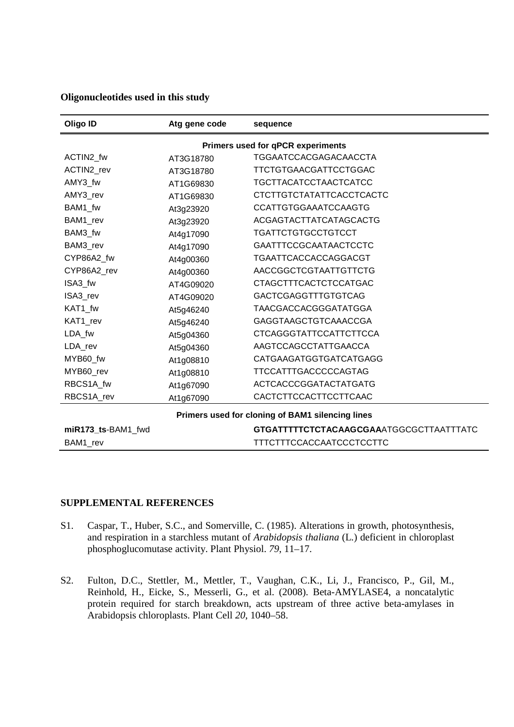## **Oligonucleotides used in this study**

| Oligo ID                                         | Atg gene code | sequence                                |
|--------------------------------------------------|---------------|-----------------------------------------|
| Primers used for qPCR experiments                |               |                                         |
| ACTIN2_fw                                        | AT3G18780     | <b>TGGAATCCACGAGACAACCTA</b>            |
| ACTIN2 rev                                       | AT3G18780     | TTCTGTGAACGATTCCTGGAC                   |
| AMY3 fw                                          | AT1G69830     | <b>TGCTTACATCCTAACTCATCC</b>            |
| AMY3_rev                                         | AT1G69830     | CTCTTGTCTATATTCACCTCACTC                |
| BAM1_fw                                          | At3g23920     | <b>CCATTGTGGAAATCCAAGTG</b>             |
| BAM1_rev                                         | At3g23920     | ACGAGTACTTATCATAGCACTG                  |
| BAM3_fw                                          | At4g17090     | TGATTCTGTGCCTGTCCT                      |
| BAM3_rev                                         | At4g17090     | <b>GAATTTCCGCAATAACTCCTC</b>            |
| CYP86A2_fw                                       | At4g00360     | TGAATTCACCACCAGGACGT                    |
| CYP86A2_rev                                      | At4g00360     | AACCGGCTCGTAATTGTTCTG                   |
| ISA3_fw                                          | AT4G09020     | <b>CTAGCTTTCACTCTCCATGAC</b>            |
| ISA3 rev                                         | AT4G09020     | <b>GACTCGAGGTTTGTGTCAG</b>              |
| KAT1_fw                                          | At5g46240     | TAACGACCACGGGATATGGA                    |
| KAT1_rev                                         | At5g46240     | <b>GAGGTAAGCTGTCAAACCGA</b>             |
| LDA_fw                                           | At5g04360     | <b>CTCAGGGTATTCCATTCTTCCA</b>           |
| LDA_rev                                          | At5g04360     | AAGTCCAGCCTATTGAACCA                    |
| MYB60 fw                                         | At1g08810     | CATGAAGATGGTGATCATGAGG                  |
| MYB60_rev                                        | At1g08810     | TTCCATTTGACCCCCAGTAG                    |
| RBCS1A_fw                                        | At1g67090     | <b>ACTCACCCGGATACTATGATG</b>            |
| RBCS1A_rev                                       | At1g67090     | CACTCTTCCACTTCCTTCAAC                   |
| Primers used for cloning of BAM1 silencing lines |               |                                         |
| miR173 ts-BAM1 fwd                               |               | GTGATTTTTCTCTACAAGCGAAATGGCGCTTAATTTATC |
| BAM1_rev                                         |               | <b>TTTCTTTCCACCAATCCCTCCTTC</b>         |

## **SUPPLEMENTAL REFERENCES**

- S1. Caspar, T., Huber, S.C., and Somerville, C. (1985). Alterations in growth, photosynthesis, and respiration in a starchless mutant of *Arabidopsis thaliana* (L.) deficient in chloroplast phosphoglucomutase activity. Plant Physiol. *79*, 11–17.
- S2. Fulton, D.C., Stettler, M., Mettler, T., Vaughan, C.K., Li, J., Francisco, P., Gil, M., Reinhold, H., Eicke, S., Messerli, G., et al. (2008). Beta-AMYLASE4, a noncatalytic protein required for starch breakdown, acts upstream of three active beta-amylases in Arabidopsis chloroplasts. Plant Cell *20*, 1040–58.